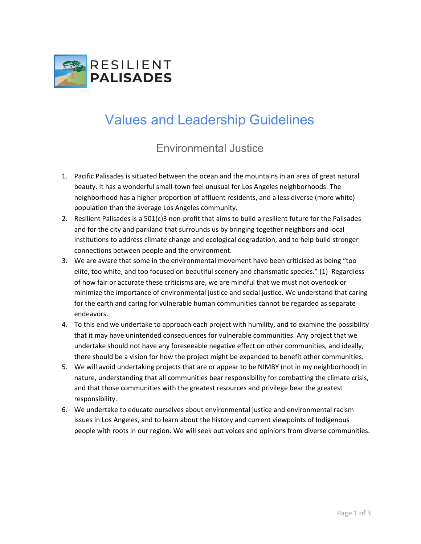

## Values and Leadership Guidelines

## Environmental Justice

- 1. Pacific Palisades is situated between the ocean and the mountains in an area of great natural beauty. It has a wonderful small-town feel unusual for Los Angeles neighborhoods. The neighborhood has a higher proportion of affluent residents, and a less diverse (more white) population than the average Los Angeles community.
- 2. Resilient Palisades is a 501(c)3 non-profit that aims to build a resilient future for the Palisades and for the city and parkland that surrounds us by bringing together neighbors and local institutions to address climate change and ecological degradation, and to help build stronger connections between people and the environment.
- 3. We are aware that some in the environmental movement have been criticised as being "too elite, too white, and too focused on beautiful scenery and charismatic species." (1) Regardless of how fair or accurate these criticisms are, we are mindful that we must not overlook or minimize the importance of environmental justice and social justice. We understand that caring for the earth and caring for vulnerable human communities cannot be regarded as separate endeavors.
- 4. To this end we undertake to approach each project with humility, and to examine the possibility that it may have unintended consequences for vulnerable communities. Any project that we undertake should not have any foreseeable negative effect on other communities, and ideally, there should be a vision for how the project might be expanded to benefit other communities.
- 5. We will avoid undertaking projects that are or appear to be NIMBY (not in my neighborhood) in nature, understanding that all communities bear responsibility for combatting the climate crisis, and that those communities with the greatest resources and privilege bear the greatest responsibility.
- 6. We undertake to educate ourselves about environmental justice and environmental racism issues in Los Angeles, and to learn about the history and current viewpoints of Indigenous people with roots in our region. We will seek out voices and opinions from diverse communities.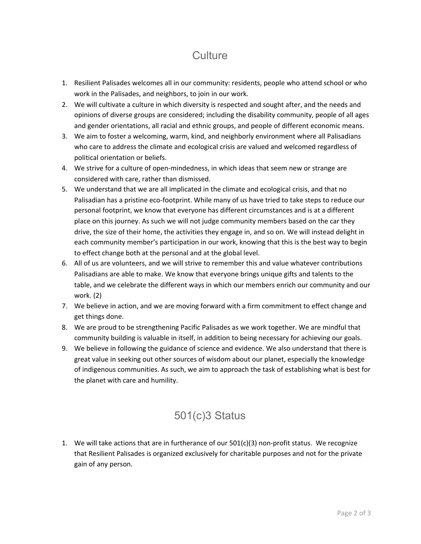## **Culture**

- 1. Resilient Palisades welcomes all in our community: residents, people who attend school or who work in the Palisades, and neighbors, to join in our work.
- 2. We will cultivate a culture in which diversity is respected and sought after, and the needs and opinions of diverse groups are considered; including the disability community, people of all ages and gender orientations, all racial and ethnic groups, and people of different economic means.
- 3. We aim to foster a welcoming, warm, kind, and neighborly environment where all Palisadians who care to address the climate and ecological crisis are valued and welcomed regardless of political orientation or beliefs.
- 4. We strive for a culture of open-mindedness, in which ideas that seem new or strange are considered with care, rather than dismissed.
- 5. We understand that we are all implicated in the climate and ecological crisis, and that no Palisadian has a pristine eco-footprint. While many of us have tried to take steps to reduce our personal footprint, we know that everyone has different circumstances and is at a different place on this journey. As such we will not judge community members based on the car they drive, the size of their home, the activities they engage in, and so on. We will instead delight in each community member's participation in our work, knowing that this is the best way to begin to effect change both at the personal and at the global level.
- 6. All of us are volunteers, and we will strive to remember this and value whatever contributions Palisadians are able to make. We know that everyone brings unique gifts and talents to the table, and we celebrate the different ways in which our members enrich our community and our work. (2)
- 7. We believe in action, and we are moving forward with a firm commitment to effect change and get things done.
- 8. We are proud to be strengthening Pacific Palisades as we work together. We are mindful that community building is valuable in itself, in addition to being necessary for achieving our goals.
- 9. We believe in following the guidance of science and evidence. We also understand that there is great value in seeking out other sources of wisdom about our planet, especially the knowledge of indigenous communities. As such, we aim to approach the task of establishing what is best for the planet with care and humility.

## 501(c)3 Status

1. We will take actions that are in furtherance of our  $501(c)(3)$  non-profit status. We recognize that Resilient Palisades is organized exclusively for charitable purposes and not for the private gain of any person.